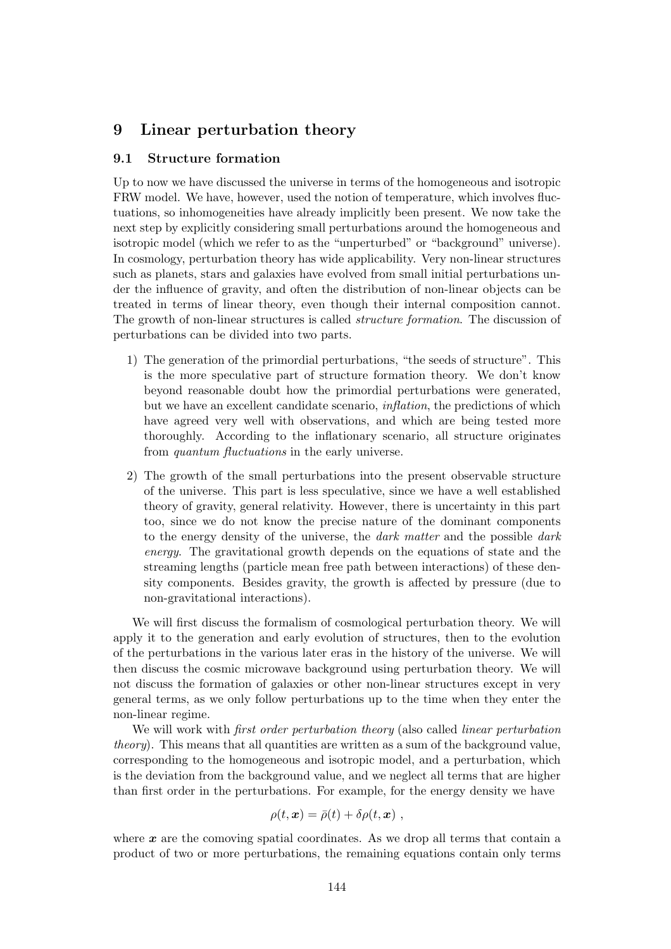## 9 Linear perturbation theory

## 9.1 Structure formation

Up to now we have discussed the universe in terms of the homogeneous and isotropic FRW model. We have, however, used the notion of temperature, which involves fluctuations, so inhomogeneities have already implicitly been present. We now take the next step by explicitly considering small perturbations around the homogeneous and isotropic model (which we refer to as the "unperturbed" or "background" universe). In cosmology, perturbation theory has wide applicability. Very non-linear structures such as planets, stars and galaxies have evolved from small initial perturbations under the influence of gravity, and often the distribution of non-linear objects can be treated in terms of linear theory, even though their internal composition cannot. The growth of non-linear structures is called structure formation. The discussion of perturbations can be divided into two parts.

- 1) The generation of the primordial perturbations, "the seeds of structure". This is the more speculative part of structure formation theory. We don't know beyond reasonable doubt how the primordial perturbations were generated, but we have an excellent candidate scenario, inflation, the predictions of which have agreed very well with observations, and which are being tested more thoroughly. According to the inflationary scenario, all structure originates from quantum fluctuations in the early universe.
- 2) The growth of the small perturbations into the present observable structure of the universe. This part is less speculative, since we have a well established theory of gravity, general relativity. However, there is uncertainty in this part too, since we do not know the precise nature of the dominant components to the energy density of the universe, the dark matter and the possible dark energy. The gravitational growth depends on the equations of state and the streaming lengths (particle mean free path between interactions) of these density components. Besides gravity, the growth is affected by pressure (due to non-gravitational interactions).

We will first discuss the formalism of cosmological perturbation theory. We will apply it to the generation and early evolution of structures, then to the evolution of the perturbations in the various later eras in the history of the universe. We will then discuss the cosmic microwave background using perturbation theory. We will not discuss the formation of galaxies or other non-linear structures except in very general terms, as we only follow perturbations up to the time when they enter the non-linear regime.

We will work with *first order perturbation theory* (also called *linear perturbation* theory). This means that all quantities are written as a sum of the background value, corresponding to the homogeneous and isotropic model, and a perturbation, which is the deviation from the background value, and we neglect all terms that are higher than first order in the perturbations. For example, for the energy density we have

$$
\rho(t,\mathbf{x}) = \bar{\rho}(t) + \delta\rho(t,\mathbf{x}),
$$

where  $x$  are the comoving spatial coordinates. As we drop all terms that contain a product of two or more perturbations, the remaining equations contain only terms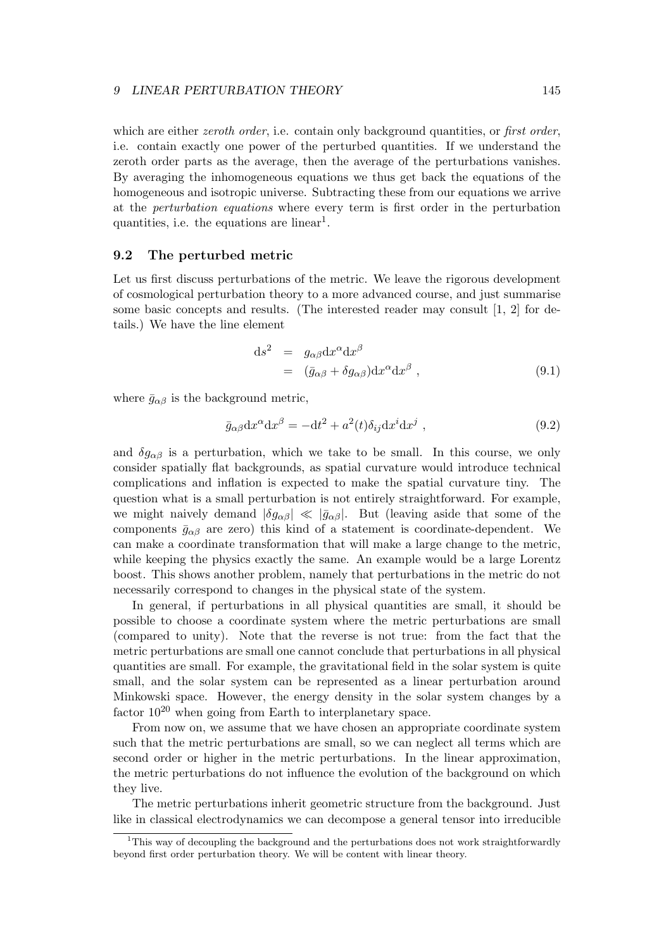which are either *zeroth order*, i.e. contain only background quantities, or *first order*, i.e. contain exactly one power of the perturbed quantities. If we understand the zeroth order parts as the average, then the average of the perturbations vanishes. By averaging the inhomogeneous equations we thus get back the equations of the homogeneous and isotropic universe. Subtracting these from our equations we arrive at the perturbation equations where every term is first order in the perturbation quantities, i.e. the equations are linear<sup>1</sup>.

## 9.2 The perturbed metric

Let us first discuss perturbations of the metric. We leave the rigorous development of cosmological perturbation theory to a more advanced course, and just summarise some basic concepts and results. (The interested reader may consult [1, 2] for details.) We have the line element

$$
ds^{2} = g_{\alpha\beta}dx^{\alpha}dx^{\beta}
$$
  
=  $(\bar{g}_{\alpha\beta} + \delta g_{\alpha\beta})dx^{\alpha}dx^{\beta}$ , (9.1)

where  $\bar{g}_{\alpha\beta}$  is the background metric,

$$
\bar{g}_{\alpha\beta} dx^{\alpha} dx^{\beta} = -dt^2 + a^2(t)\delta_{ij} dx^i dx^j , \qquad (9.2)
$$

and  $\delta g_{\alpha\beta}$  is a perturbation, which we take to be small. In this course, we only consider spatially flat backgrounds, as spatial curvature would introduce technical complications and inflation is expected to make the spatial curvature tiny. The question what is a small perturbation is not entirely straightforward. For example, we might naively demand  $|\delta g_{\alpha\beta}| \ll |\bar{g}_{\alpha\beta}|$ . But (leaving aside that some of the components  $\bar{g}_{\alpha\beta}$  are zero) this kind of a statement is coordinate-dependent. We can make a coordinate transformation that will make a large change to the metric, while keeping the physics exactly the same. An example would be a large Lorentz boost. This shows another problem, namely that perturbations in the metric do not necessarily correspond to changes in the physical state of the system.

In general, if perturbations in all physical quantities are small, it should be possible to choose a coordinate system where the metric perturbations are small (compared to unity). Note that the reverse is not true: from the fact that the metric perturbations are small one cannot conclude that perturbations in all physical quantities are small. For example, the gravitational field in the solar system is quite small, and the solar system can be represented as a linear perturbation around Minkowski space. However, the energy density in the solar system changes by a factor  $10^{20}$  when going from Earth to interplanetary space.

From now on, we assume that we have chosen an appropriate coordinate system such that the metric perturbations are small, so we can neglect all terms which are second order or higher in the metric perturbations. In the linear approximation, the metric perturbations do not influence the evolution of the background on which they live.

The metric perturbations inherit geometric structure from the background. Just like in classical electrodynamics we can decompose a general tensor into irreducible

<sup>&</sup>lt;sup>1</sup>This way of decoupling the background and the perturbations does not work straightforwardly beyond first order perturbation theory. We will be content with linear theory.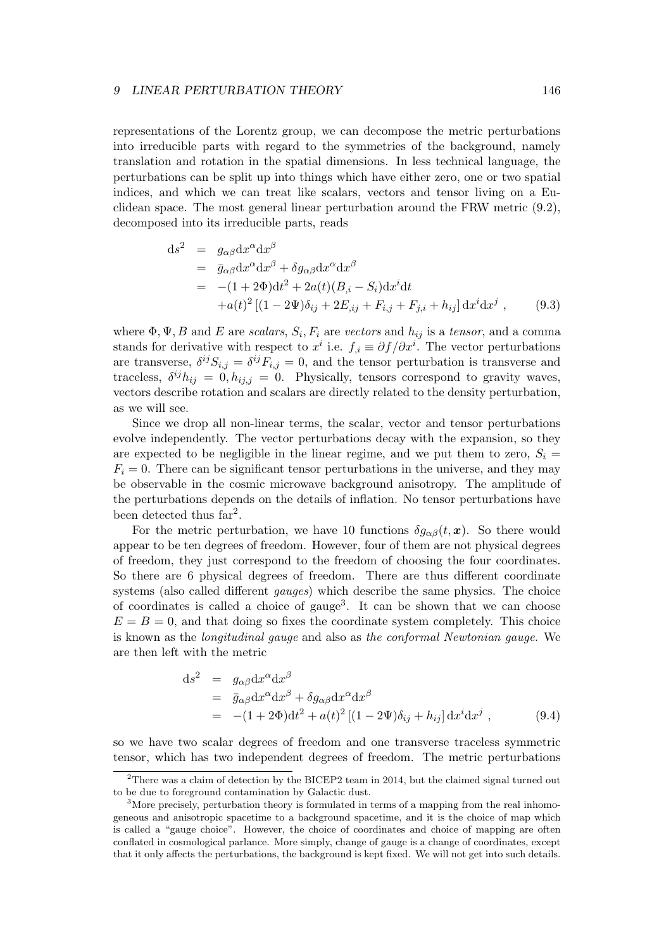representations of the Lorentz group, we can decompose the metric perturbations into irreducible parts with regard to the symmetries of the background, namely translation and rotation in the spatial dimensions. In less technical language, the perturbations can be split up into things which have either zero, one or two spatial indices, and which we can treat like scalars, vectors and tensor living on a Euclidean space. The most general linear perturbation around the FRW metric (9.2), decomposed into its irreducible parts, reads

$$
ds^{2} = g_{\alpha\beta}dx^{\alpha}dx^{\beta}
$$
  
=  $\bar{g}_{\alpha\beta}dx^{\alpha}dx^{\beta} + \delta g_{\alpha\beta}dx^{\alpha}dx^{\beta}$   
=  $-(1+2\Phi)dt^{2} + 2a(t)(B_{,i} - S_{i})dx^{i}dt$   
+ $a(t)^{2}[(1-2\Psi)\delta_{ij} + 2E_{,ij} + F_{i,j} + F_{j,i} + h_{ij}]dx^{i}dx^{j}$ , (9.3)

where  $\Phi, \Psi, B$  and E are scalars,  $S_i, F_i$  are vectors and  $h_{ij}$  is a tensor, and a comma stands for derivative with respect to  $x^i$  i.e.  $f_{,i} \equiv \partial f / \partial x^i$ . The vector perturbations are transverse,  $\delta^{ij} S_{i,j} = \delta^{ij} F_{i,j} = 0$ , and the tensor perturbation is transverse and traceless,  $\delta^{ij}h_{ij} = 0, h_{ij,j} = 0$ . Physically, tensors correspond to gravity waves, vectors describe rotation and scalars are directly related to the density perturbation, as we will see.

Since we drop all non-linear terms, the scalar, vector and tensor perturbations evolve independently. The vector perturbations decay with the expansion, so they are expected to be negligible in the linear regime, and we put them to zero,  $S_i =$  $F_i = 0$ . There can be significant tensor perturbations in the universe, and they may be observable in the cosmic microwave background anisotropy. The amplitude of the perturbations depends on the details of inflation. No tensor perturbations have been detected thus  $far<sup>2</sup>$ .

For the metric perturbation, we have 10 functions  $\delta q_{\alpha\beta}(t, x)$ . So there would appear to be ten degrees of freedom. However, four of them are not physical degrees of freedom, they just correspond to the freedom of choosing the four coordinates. So there are 6 physical degrees of freedom. There are thus different coordinate systems (also called different *gauges*) which describe the same physics. The choice of coordinates is called a choice of gauge<sup>3</sup>. It can be shown that we can choose  $E = B = 0$ , and that doing so fixes the coordinate system completely. This choice is known as the longitudinal gauge and also as the conformal Newtonian gauge. We are then left with the metric

$$
ds^{2} = g_{\alpha\beta}dx^{\alpha}dx^{\beta}
$$
  
=  $\bar{g}_{\alpha\beta}dx^{\alpha}dx^{\beta} + \delta g_{\alpha\beta}dx^{\alpha}dx^{\beta}$   
=  $-(1+2\Phi)dt^{2} + a(t)^{2}[(1-2\Psi)\delta_{ij} + h_{ij}]dx^{i}dx^{j}$ , (9.4)

so we have two scalar degrees of freedom and one transverse traceless symmetric tensor, which has two independent degrees of freedom. The metric perturbations

<sup>&</sup>lt;sup>2</sup>There was a claim of detection by the BICEP2 team in 2014, but the claimed signal turned out to be due to foreground contamination by Galactic dust.

 $3$ More precisely, perturbation theory is formulated in terms of a mapping from the real inhomogeneous and anisotropic spacetime to a background spacetime, and it is the choice of map which is called a "gauge choice". However, the choice of coordinates and choice of mapping are often conflated in cosmological parlance. More simply, change of gauge is a change of coordinates, except that it only affects the perturbations, the background is kept fixed. We will not get into such details.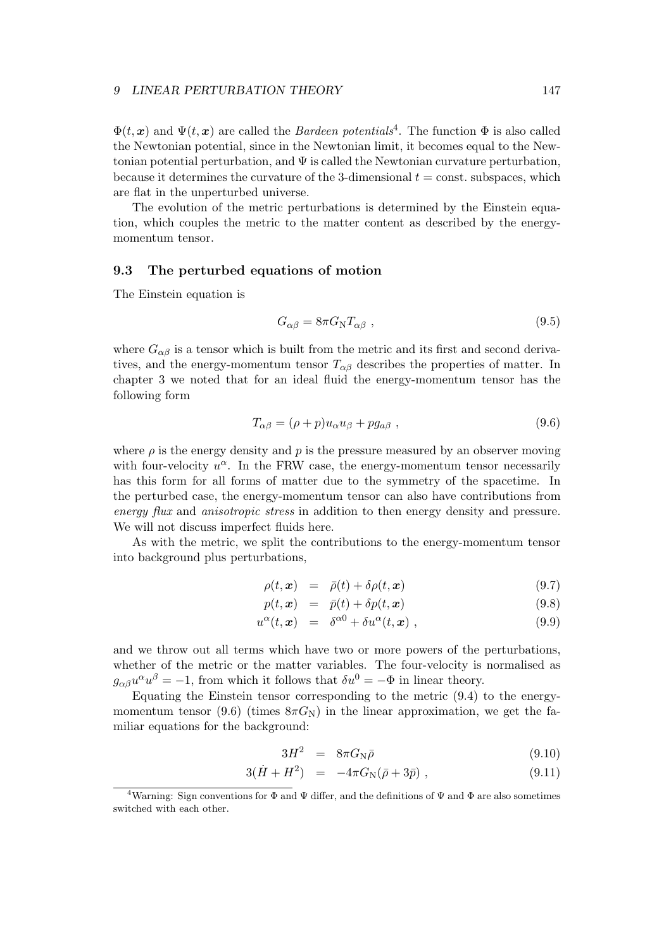$\Phi(t, x)$  and  $\Psi(t, x)$  are called the *Bardeen potentials*<sup>4</sup>. The function  $\Phi$  is also called the Newtonian potential, since in the Newtonian limit, it becomes equal to the Newtonian potential perturbation, and  $\Psi$  is called the Newtonian curvature perturbation, because it determines the curvature of the 3-dimensional  $t = \text{const.}$  subspaces, which are flat in the unperturbed universe.

The evolution of the metric perturbations is determined by the Einstein equation, which couples the metric to the matter content as described by the energymomentum tensor.

## 9.3 The perturbed equations of motion

The Einstein equation is

$$
G_{\alpha\beta} = 8\pi G_{\rm N} T_{\alpha\beta} \tag{9.5}
$$

where  $G_{\alpha\beta}$  is a tensor which is built from the metric and its first and second derivatives, and the energy-momentum tensor  $T_{\alpha\beta}$  describes the properties of matter. In chapter 3 we noted that for an ideal fluid the energy-momentum tensor has the following form

$$
T_{\alpha\beta} = (\rho + p)u_{\alpha}u_{\beta} + pg_{a\beta} , \qquad (9.6)
$$

where  $\rho$  is the energy density and p is the pressure measured by an observer moving with four-velocity  $u^{\alpha}$ . In the FRW case, the energy-momentum tensor necessarily has this form for all forms of matter due to the symmetry of the spacetime. In the perturbed case, the energy-momentum tensor can also have contributions from energy flux and anisotropic stress in addition to then energy density and pressure. We will not discuss imperfect fluids here.

As with the metric, we split the contributions to the energy-momentum tensor into background plus perturbations,

$$
\rho(t, \mathbf{x}) = \bar{\rho}(t) + \delta \rho(t, \mathbf{x}) \tag{9.7}
$$

$$
p(t, \mathbf{x}) = \bar{p}(t) + \delta p(t, \mathbf{x}) \tag{9.8}
$$

$$
u^{\alpha}(t,\boldsymbol{x}) = \delta^{\alpha 0} + \delta u^{\alpha}(t,\boldsymbol{x}) , \qquad (9.9)
$$

and we throw out all terms which have two or more powers of the perturbations, whether of the metric or the matter variables. The four-velocity is normalised as  $g_{\alpha\beta}u^{\alpha}u^{\beta} = -1$ , from which it follows that  $\delta u^0 = -\Phi$  in linear theory.

Equating the Einstein tensor corresponding to the metric (9.4) to the energymomentum tensor (9.6) (times  $8\pi G_N$ ) in the linear approximation, we get the familiar equations for the background:

$$
3H^2 = 8\pi G_{\rm N}\bar{\rho} \tag{9.10}
$$

$$
3(\dot{H} + H^2) = -4\pi G_N(\bar{\rho} + 3\bar{p}), \qquad (9.11)
$$

<sup>&</sup>lt;sup>4</sup>Warning: Sign conventions for  $\Phi$  and  $\Psi$  differ, and the definitions of  $\Psi$  and  $\Phi$  are also sometimes switched with each other.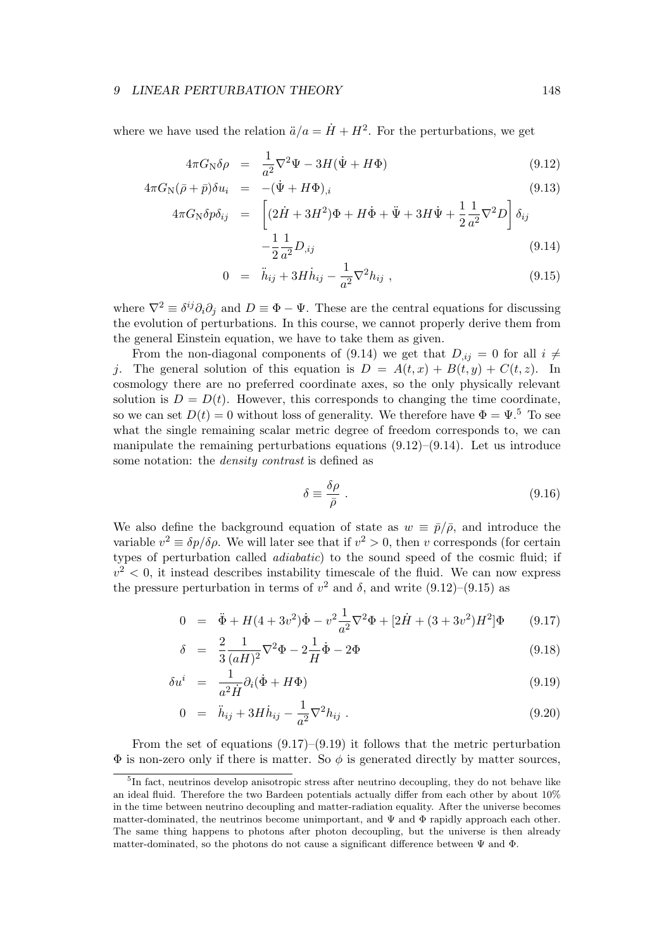where we have used the relation  $\ddot{a}/a = \dot{H} + H^2$ . For the perturbations, we get

$$
4\pi G_{\rm N}\delta\rho = \frac{1}{a^2}\nabla^2\Psi - 3H(\dot{\Psi} + H\Phi) \tag{9.12}
$$

$$
4\pi G_{\rm N}(\bar{\rho} + \bar{p})\delta u_i = -(\dot{\Psi} + H\Phi)_{,i} \tag{9.13}
$$
\n
$$
4\pi G_{\rm N}(\bar{\rho} + \bar{p})\delta u_i = \left[ (2\dot{H} + H\Phi)_{,i} + H\dot{\Phi} + \ddot{\Phi} + 2H\dot{\Phi} + H\dot{\Phi} + H\dot{\Phi} + H\dot{\Phi} + H\dot{\Phi} + H\dot{\Phi} + H\dot{\Phi} + H\dot{\Phi} + H\dot{\Phi} + H\dot{\Phi} + H\dot{\Phi} + H\dot{\Phi} + H\dot{\Phi} + H\dot{\Phi} + H\dot{\Phi} + H\dot{\Phi} + H\dot{\Phi} + H\dot{\Phi} + H\dot{\Phi} + H\dot{\Phi} + H\dot{\Phi} + H\dot{\Phi} + H\dot{\Phi} + H\dot{\Phi} + H\dot{\Phi} + H\dot{\Phi} + H\dot{\Phi} + H\dot{\Phi} + H\dot{\Phi} + H\dot{\Phi} + H\dot{\Phi} + H\dot{\Phi} + H\dot{\Phi} + H\dot{\Phi} + H\dot{\Phi} + H\dot{\Phi} + H\dot{\Phi} + H\dot{\Phi} + H\dot{\Phi} + H\dot{\Phi} + H\dot{\Phi} + H\dot{\Phi} + H\dot{\Phi} + H\dot{\Phi} + H\dot{\Phi} + H\dot{\Phi} + H\dot{\Phi} + H\dot{\Phi} + H\dot{\Phi} + H\dot{\Phi} + H\dot{\Phi} + H\dot{\Phi} + H\dot{\Phi} + H\dot{\Phi} + H\dot{\Phi} + H\dot{\Phi} + H\dot{\Phi} + H\dot{\Phi} + H\dot{\Phi} + H\dot{\Phi} + H\dot{\Phi} + H\dot{\Phi} + H\dot{\Phi} + H\dot{\Phi} + H\dot{\Phi} + H\dot{\Phi} + H\dot{\Phi} + H\dot{\Phi} + H\dot{\Phi} + H\dot{\Phi} + H\dot{\Phi} + H\dot{\Phi} + H\dot{\Phi} + H\dot{\Phi} + H\dot{\Phi} + H\dot{\Phi} + H\dot{\Phi} + H\dot{\Phi} + H\dot{\Phi} + H\dot{\Phi} + H\dot{\Phi} + H\dot{\Phi} + H\dot{\Phi} + H\dot{\Phi} + H\dot{\Phi} + H\dot{\Phi} + H\dot{\Phi} + H\dot{\Phi} + H\dot{\Phi} + H\dot{\Phi} + H\dot{\Phi} + H\dot{\
$$

$$
4\pi G_{\rm N}\delta p\delta_{ij} = \left[ (2\dot{H} + 3H^2)\Phi + H\dot{\Phi} + \ddot{\Psi} + 3H\dot{\Psi} + \frac{1}{2}\frac{1}{a^2}\nabla^2 D \right] \delta_{ij} -\frac{1}{2}\frac{1}{a^2}D_{,ij}
$$
(9.14)

$$
0 = \ddot{h}_{ij} + 3H\dot{h}_{ij} - \frac{1}{a^2}\nabla^2 h_{ij} , \qquad (9.15)
$$

where  $\nabla^2 \equiv \delta^{ij}\partial_i\partial_j$  and  $D \equiv \Phi - \Psi$ . These are the central equations for discussing the evolution of perturbations. In this course, we cannot properly derive them from the general Einstein equation, we have to take them as given.

From the non-diagonal components of (9.14) we get that  $D_{ii} = 0$  for all  $i \neq$ j. The general solution of this equation is  $D = A(t, x) + B(t, y) + C(t, z)$ . In cosmology there are no preferred coordinate axes, so the only physically relevant solution is  $D = D(t)$ . However, this corresponds to changing the time coordinate, so we can set  $D(t) = 0$  without loss of generality. We therefore have  $\Phi = \Psi$ .<sup>5</sup> To see what the single remaining scalar metric degree of freedom corresponds to, we can manipulate the remaining perturbations equations  $(9.12)$ – $(9.14)$ . Let us introduce some notation: the *density contrast* is defined as

$$
\delta \equiv \frac{\delta \rho}{\bar{\rho}} \; . \tag{9.16}
$$

We also define the background equation of state as  $w = \bar{p}/\bar{\rho}$ , and introduce the variable  $v^2 \equiv \delta p/\delta \rho$ . We will later see that if  $v^2 > 0$ , then v corresponds (for certain types of perturbation called adiabatic) to the sound speed of the cosmic fluid; if  $v^2$  < 0, it instead describes instability timescale of the fluid. We can now express the pressure perturbation in terms of  $v^2$  and  $\delta$ , and write  $(9.12)$ – $(9.15)$  as

$$
0 = \ddot{\Phi} + H(4+3v^2)\dot{\Phi} - v^2\frac{1}{a^2}\nabla^2\Phi + [2\dot{H} + (3+3v^2)H^2]\Phi \qquad (9.17)
$$

$$
\delta = \frac{2}{3} \frac{1}{(aH)^2} \nabla^2 \Phi - 2 \frac{1}{H} \dot{\Phi} - 2 \Phi \tag{9.18}
$$

$$
\delta u^i = \frac{1}{a^2 \dot{H}} \partial_i (\dot{\Phi} + H\Phi) \tag{9.19}
$$

$$
0 = \ddot{h}_{ij} + 3H\dot{h}_{ij} - \frac{1}{a^2}\nabla^2 h_{ij} \tag{9.20}
$$

From the set of equations  $(9.17)$ – $(9.19)$  it follows that the metric perturbation  $\Phi$  is non-zero only if there is matter. So  $\phi$  is generated directly by matter sources,

<sup>&</sup>lt;sup>5</sup>In fact, neutrinos develop anisotropic stress after neutrino decoupling, they do not behave like an ideal fluid. Therefore the two Bardeen potentials actually differ from each other by about 10% in the time between neutrino decoupling and matter-radiation equality. After the universe becomes matter-dominated, the neutrinos become unimportant, and  $\Psi$  and  $\Phi$  rapidly approach each other. The same thing happens to photons after photon decoupling, but the universe is then already matter-dominated, so the photons do not cause a significant difference between  $\Psi$  and  $\Phi$ .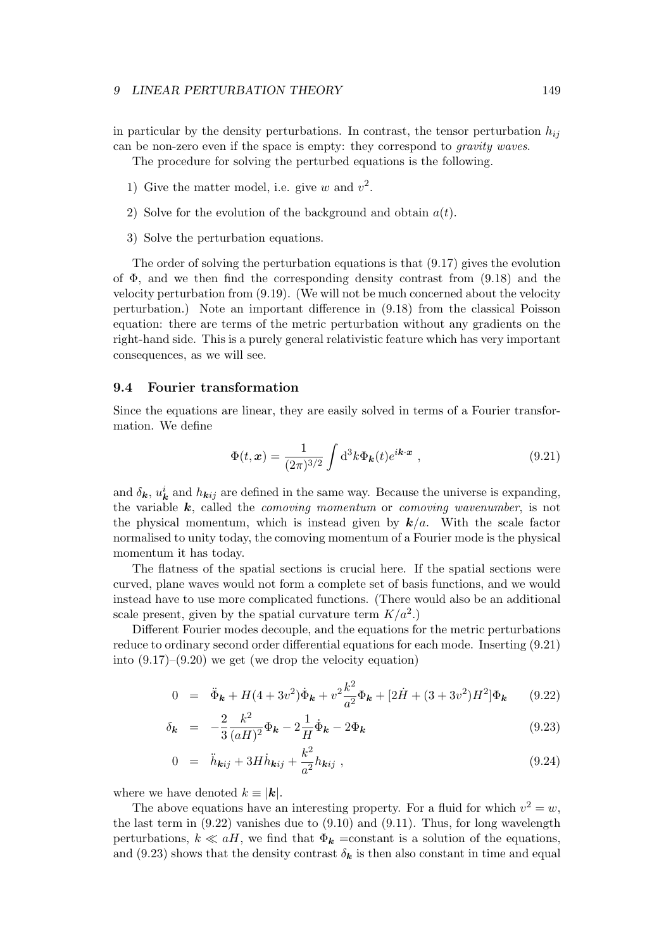in particular by the density perturbations. In contrast, the tensor perturbation  $h_{ij}$ can be non-zero even if the space is empty: they correspond to gravity waves.

The procedure for solving the perturbed equations is the following.

- 1) Give the matter model, i.e. give w and  $v^2$ .
- 2) Solve for the evolution of the background and obtain  $a(t)$ .
- 3) Solve the perturbation equations.

The order of solving the perturbation equations is that (9.17) gives the evolution of  $\Phi$ , and we then find the corresponding density contrast from (9.18) and the velocity perturbation from (9.19). (We will not be much concerned about the velocity perturbation.) Note an important difference in (9.18) from the classical Poisson equation: there are terms of the metric perturbation without any gradients on the right-hand side. This is a purely general relativistic feature which has very important consequences, as we will see.

## 9.4 Fourier transformation

Since the equations are linear, they are easily solved in terms of a Fourier transformation. We define

$$
\Phi(t,\mathbf{x}) = \frac{1}{(2\pi)^{3/2}} \int \mathrm{d}^3 k \Phi_{\mathbf{k}}(t) e^{i\mathbf{k}\cdot\mathbf{x}} , \qquad (9.21)
$$

and  $\delta_{\mathbf{k}}, u_{\mathbf{k}}^i$  and  $h_{\mathbf{k}ij}$  are defined in the same way. Because the universe is expanding, the variable  $k$ , called the *comoving momentum* or *comoving wavenumber*, is not the physical momentum, which is instead given by  $k/a$ . With the scale factor normalised to unity today, the comoving momentum of a Fourier mode is the physical momentum it has today.

The flatness of the spatial sections is crucial here. If the spatial sections were curved, plane waves would not form a complete set of basis functions, and we would instead have to use more complicated functions. (There would also be an additional scale present, given by the spatial curvature term  $K/a^2$ .)

Different Fourier modes decouple, and the equations for the metric perturbations reduce to ordinary second order differential equations for each mode. Inserting (9.21) into  $(9.17)$ – $(9.20)$  we get (we drop the velocity equation)

$$
0 = \ddot{\Phi}_{\mathbf{k}} + H(4+3v^2)\dot{\Phi}_{\mathbf{k}} + v^2 \frac{k^2}{a^2} \Phi_{\mathbf{k}} + [2\dot{H} + (3+3v^2)H^2] \Phi_{\mathbf{k}} \qquad (9.22)
$$

$$
\delta_{\mathbf{k}} = -\frac{2}{3} \frac{k^2}{(aH)^2} \Phi_{\mathbf{k}} - 2 \frac{1}{H} \dot{\Phi}_{\mathbf{k}} - 2 \Phi_{\mathbf{k}} \tag{9.23}
$$

$$
0 = \ddot{h}_{\mathbf{k}ij} + 3H\dot{h}_{\mathbf{k}ij} + \frac{k^2}{a^2}h_{\mathbf{k}ij} , \qquad (9.24)
$$

where we have denoted  $k \equiv |\mathbf{k}|$ .

The above equations have an interesting property. For a fluid for which  $v^2 = w$ , the last term in  $(9.22)$  vanishes due to  $(9.10)$  and  $(9.11)$ . Thus, for long wavelength perturbations,  $k \ll aH$ , we find that  $\Phi_k$  =constant is a solution of the equations, and (9.23) shows that the density contrast  $\delta_{\mathbf{k}}$  is then also constant in time and equal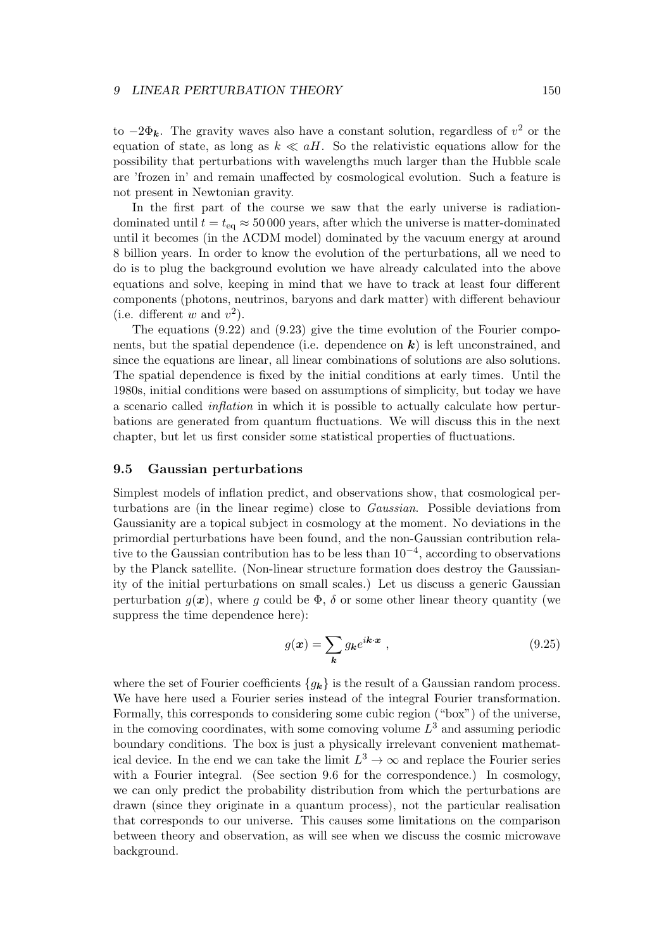to  $-2\Phi_k$ . The gravity waves also have a constant solution, regardless of  $v^2$  or the equation of state, as long as  $k \ll aH$ . So the relativistic equations allow for the possibility that perturbations with wavelengths much larger than the Hubble scale are 'frozen in' and remain unaffected by cosmological evolution. Such a feature is not present in Newtonian gravity.

In the first part of the course we saw that the early universe is radiationdominated until  $t = t_{eq} \approx 50000$  years, after which the universe is matter-dominated until it becomes (in the ΛCDM model) dominated by the vacuum energy at around 8 billion years. In order to know the evolution of the perturbations, all we need to do is to plug the background evolution we have already calculated into the above equations and solve, keeping in mind that we have to track at least four different components (photons, neutrinos, baryons and dark matter) with different behaviour (i.e. different w and  $v^2$ ).

The equations (9.22) and (9.23) give the time evolution of the Fourier components, but the spatial dependence (i.e. dependence on  $k$ ) is left unconstrained, and since the equations are linear, all linear combinations of solutions are also solutions. The spatial dependence is fixed by the initial conditions at early times. Until the 1980s, initial conditions were based on assumptions of simplicity, but today we have a scenario called inflation in which it is possible to actually calculate how perturbations are generated from quantum fluctuations. We will discuss this in the next chapter, but let us first consider some statistical properties of fluctuations.

## 9.5 Gaussian perturbations

Simplest models of inflation predict, and observations show, that cosmological perturbations are (in the linear regime) close to Gaussian. Possible deviations from Gaussianity are a topical subject in cosmology at the moment. No deviations in the primordial perturbations have been found, and the non-Gaussian contribution relative to the Gaussian contribution has to be less than  $10^{-4}$ , according to observations by the Planck satellite. (Non-linear structure formation does destroy the Gaussianity of the initial perturbations on small scales.) Let us discuss a generic Gaussian perturbation  $q(x)$ , where q could be  $\Phi$ ,  $\delta$  or some other linear theory quantity (we suppress the time dependence here):

$$
g(\mathbf{x}) = \sum_{\mathbf{k}} g_{\mathbf{k}} e^{i\mathbf{k}\cdot\mathbf{x}} \,, \tag{9.25}
$$

where the set of Fourier coefficients  ${g_k}$  is the result of a Gaussian random process. We have here used a Fourier series instead of the integral Fourier transformation. Formally, this corresponds to considering some cubic region ("box") of the universe, in the comoving coordinates, with some comoving volume  $L^3$  and assuming periodic boundary conditions. The box is just a physically irrelevant convenient mathematical device. In the end we can take the limit  $L^3 \to \infty$  and replace the Fourier series with a Fourier integral. (See section 9.6 for the correspondence.) In cosmology, we can only predict the probability distribution from which the perturbations are drawn (since they originate in a quantum process), not the particular realisation that corresponds to our universe. This causes some limitations on the comparison between theory and observation, as will see when we discuss the cosmic microwave background.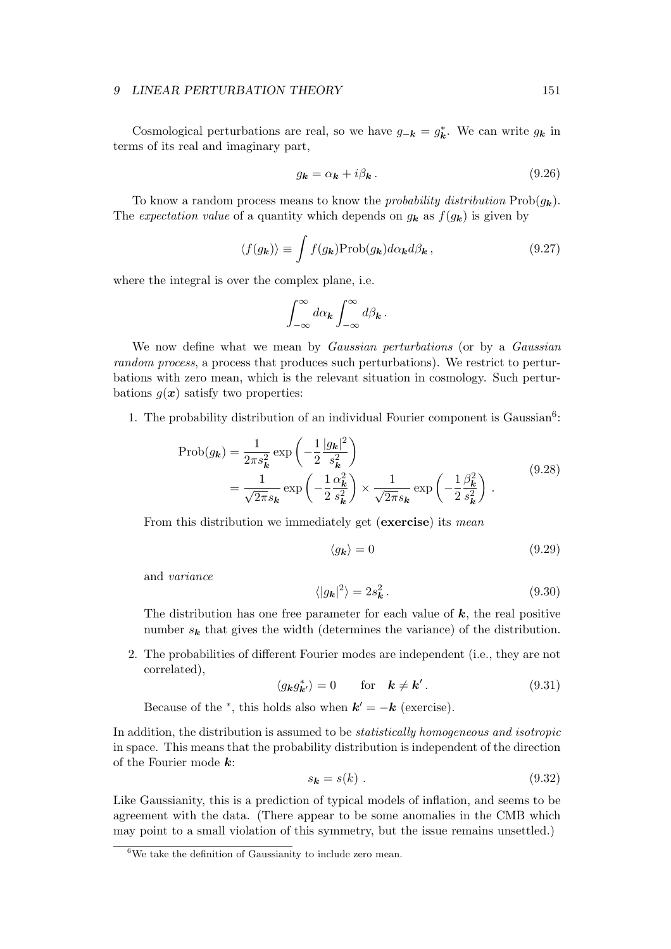Cosmological perturbations are real, so we have  $g_{-k} = g_k^*$ . We can write  $g_k$  in terms of its real and imaginary part,

$$
g_{\mathbf{k}} = \alpha_{\mathbf{k}} + i\beta_{\mathbf{k}}.\tag{9.26}
$$

To know a random process means to know the *probability distribution*  $\text{Prob}(g_k)$ . The expectation value of a quantity which depends on  $g_k$  as  $f(g_k)$  is given by

$$
\langle f(g_{\mathbf{k}}) \rangle \equiv \int f(g_{\mathbf{k}}) \text{Prob}(g_{\mathbf{k}}) d\alpha_{\mathbf{k}} d\beta_{\mathbf{k}}, \qquad (9.27)
$$

where the integral is over the complex plane, i.e.

$$
\int_{-\infty}^{\infty} d\alpha_{\mathbf{k}} \int_{-\infty}^{\infty} d\beta_{\mathbf{k}}.
$$

We now define what we mean by *Gaussian perturbations* (or by a *Gaussian* random process, a process that produces such perturbations). We restrict to perturbations with zero mean, which is the relevant situation in cosmology. Such perturbations  $g(x)$  satisfy two properties:

1. The probability distribution of an individual Fourier component is Gaussian<sup>6</sup>:

$$
\text{Prob}(g_k) = \frac{1}{2\pi s_k^2} \exp\left(-\frac{1}{2} \frac{|g_k|^2}{s_k^2}\right)
$$
  
= 
$$
\frac{1}{\sqrt{2\pi} s_k} \exp\left(-\frac{1}{2} \frac{\alpha_k^2}{s_k^2}\right) \times \frac{1}{\sqrt{2\pi} s_k} \exp\left(-\frac{1}{2} \frac{\beta_k^2}{s_k^2}\right).
$$
 (9.28)

From this distribution we immediately get (exercise) its mean

$$
\langle g_{\mathbf{k}} \rangle = 0 \tag{9.29}
$$

and variance

$$
\langle |g_{\mathbf{k}}|^2 \rangle = 2s_{\mathbf{k}}^2. \tag{9.30}
$$

The distribution has one free parameter for each value of  $k$ , the real positive number  $s_k$  that gives the width (determines the variance) of the distribution.

2. The probabilities of different Fourier modes are independent (i.e., they are not correlated),

$$
\langle g_{\mathbf{k}} g_{\mathbf{k'}}^* \rangle = 0 \quad \text{for} \quad \mathbf{k} \neq \mathbf{k'}.
$$
 (9.31)

Because of the <sup>\*</sup>, this holds also when  $\mathbf{k}' = -\mathbf{k}$  (exercise).

In addition, the distribution is assumed to be statistically homogeneous and isotropic in space. This means that the probability distribution is independent of the direction of the Fourier mode  $k$ :

$$
s_k = s(k) \tag{9.32}
$$

Like Gaussianity, this is a prediction of typical models of inflation, and seems to be agreement with the data. (There appear to be some anomalies in the CMB which may point to a small violation of this symmetry, but the issue remains unsettled.)

<sup>6</sup>We take the definition of Gaussianity to include zero mean.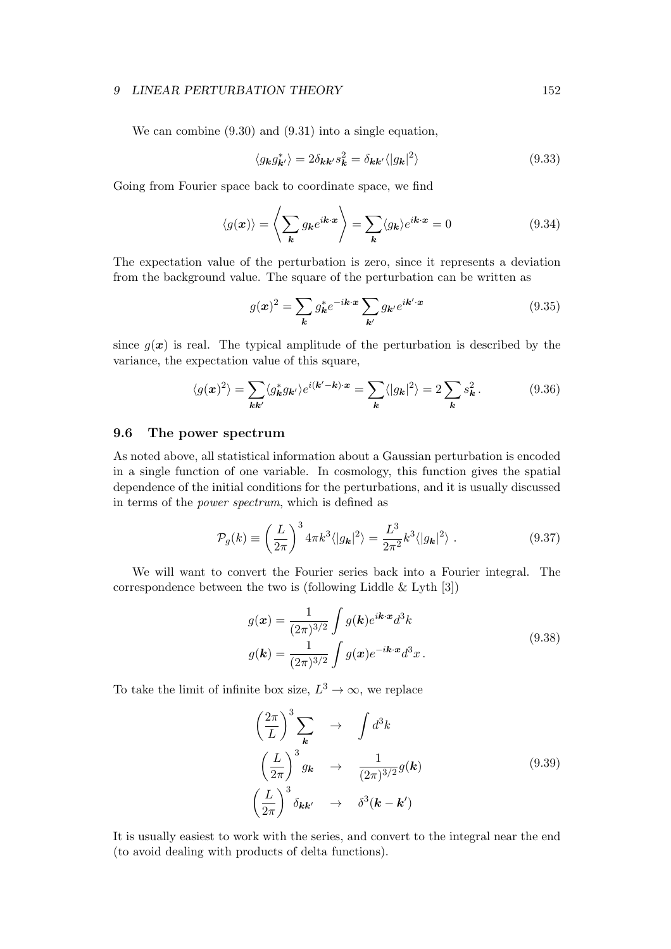We can combine (9.30) and (9.31) into a single equation,

$$
\langle g_{\mathbf{k}} g_{\mathbf{k'}}^* \rangle = 2 \delta_{\mathbf{k} \mathbf{k'}} s_{\mathbf{k}}^2 = \delta_{\mathbf{k} \mathbf{k'}} \langle |g_{\mathbf{k}}|^2 \rangle \tag{9.33}
$$

Going from Fourier space back to coordinate space, we find

$$
\langle g(\boldsymbol{x}) \rangle = \left\langle \sum_{\boldsymbol{k}} g_{\boldsymbol{k}} e^{i\boldsymbol{k} \cdot \boldsymbol{x}} \right\rangle = \sum_{\boldsymbol{k}} \langle g_{\boldsymbol{k}} \rangle e^{i\boldsymbol{k} \cdot \boldsymbol{x}} = 0 \tag{9.34}
$$

The expectation value of the perturbation is zero, since it represents a deviation from the background value. The square of the perturbation can be written as

$$
g(\mathbf{x})^2 = \sum_{\mathbf{k}} g_{\mathbf{k}}^* e^{-i\mathbf{k} \cdot \mathbf{x}} \sum_{\mathbf{k}'} g_{\mathbf{k}'} e^{i\mathbf{k}' \cdot \mathbf{x}} \tag{9.35}
$$

since  $g(x)$  is real. The typical amplitude of the perturbation is described by the variance, the expectation value of this square,

$$
\langle g(x)^2 \rangle = \sum_{\mathbf{k}\mathbf{k}'} \langle g_{\mathbf{k}}^* g_{\mathbf{k}'} \rangle e^{i(\mathbf{k}' - \mathbf{k}) \cdot x} = \sum_{\mathbf{k}} \langle |g_{\mathbf{k}}|^2 \rangle = 2 \sum_{\mathbf{k}} s_{\mathbf{k}}^2. \tag{9.36}
$$

## 9.6 The power spectrum

As noted above, all statistical information about a Gaussian perturbation is encoded in a single function of one variable. In cosmology, this function gives the spatial dependence of the initial conditions for the perturbations, and it is usually discussed in terms of the power spectrum, which is defined as

$$
\mathcal{P}_g(k) \equiv \left(\frac{L}{2\pi}\right)^3 4\pi k^3 \langle |g_{\mathbf{k}}|^2 \rangle = \frac{L^3}{2\pi^2} k^3 \langle |g_{\mathbf{k}}|^2 \rangle . \tag{9.37}
$$

We will want to convert the Fourier series back into a Fourier integral. The correspondence between the two is (following Liddle & Lyth [3])

$$
g(\boldsymbol{x}) = \frac{1}{(2\pi)^{3/2}} \int g(\boldsymbol{k}) e^{i\boldsymbol{k}\cdot\boldsymbol{x}} d^3\boldsymbol{k}
$$
  

$$
g(\boldsymbol{k}) = \frac{1}{(2\pi)^{3/2}} \int g(\boldsymbol{x}) e^{-i\boldsymbol{k}\cdot\boldsymbol{x}} d^3\boldsymbol{x}.
$$
 (9.38)

To take the limit of infinite box size,  $L^3 \to \infty$ , we replace

$$
\left(\frac{2\pi}{L}\right)^3 \sum_{\mathbf{k}} \rightarrow \int d^3k
$$
\n
$$
\left(\frac{L}{2\pi}\right)^3 g_{\mathbf{k}} \rightarrow \frac{1}{(2\pi)^{3/2}} g(\mathbf{k})
$$
\n
$$
\left(\frac{L}{2\pi}\right)^3 \delta_{\mathbf{k}\mathbf{k'}} \rightarrow \delta^3(\mathbf{k} - \mathbf{k'})
$$
\n(9.39)

It is usually easiest to work with the series, and convert to the integral near the end (to avoid dealing with products of delta functions).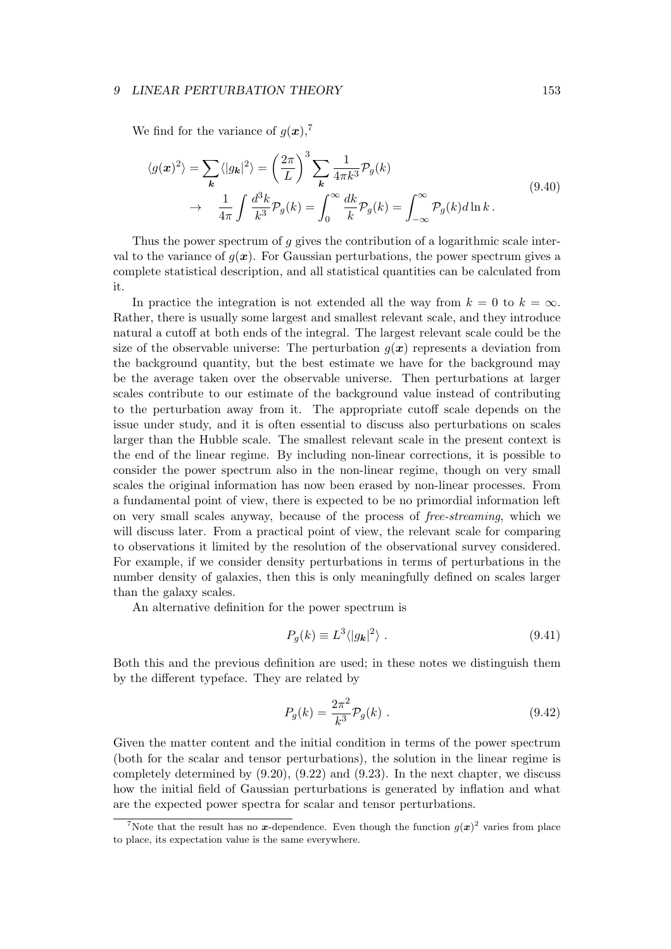We find for the variance of  $g(x)$ ,<sup>7</sup>

$$
\langle g(x)^2 \rangle = \sum_{k} \langle |g_k|^2 \rangle = \left(\frac{2\pi}{L}\right)^3 \sum_{k} \frac{1}{4\pi k^3} \mathcal{P}_g(k)
$$
  

$$
\to \frac{1}{4\pi} \int \frac{d^3k}{k^3} \mathcal{P}_g(k) = \int_0^\infty \frac{dk}{k} \mathcal{P}_g(k) = \int_{-\infty}^\infty \mathcal{P}_g(k) d\ln k.
$$
 (9.40)

Thus the power spectrum of q gives the contribution of a logarithmic scale interval to the variance of  $g(x)$ . For Gaussian perturbations, the power spectrum gives a complete statistical description, and all statistical quantities can be calculated from it.

In practice the integration is not extended all the way from  $k = 0$  to  $k = \infty$ . Rather, there is usually some largest and smallest relevant scale, and they introduce natural a cutoff at both ends of the integral. The largest relevant scale could be the size of the observable universe: The perturbation  $g(x)$  represents a deviation from the background quantity, but the best estimate we have for the background may be the average taken over the observable universe. Then perturbations at larger scales contribute to our estimate of the background value instead of contributing to the perturbation away from it. The appropriate cutoff scale depends on the issue under study, and it is often essential to discuss also perturbations on scales larger than the Hubble scale. The smallest relevant scale in the present context is the end of the linear regime. By including non-linear corrections, it is possible to consider the power spectrum also in the non-linear regime, though on very small scales the original information has now been erased by non-linear processes. From a fundamental point of view, there is expected to be no primordial information left on very small scales anyway, because of the process of free-streaming, which we will discuss later. From a practical point of view, the relevant scale for comparing to observations it limited by the resolution of the observational survey considered. For example, if we consider density perturbations in terms of perturbations in the number density of galaxies, then this is only meaningfully defined on scales larger than the galaxy scales.

An alternative definition for the power spectrum is

$$
P_g(k) \equiv L^3 \langle |g_k|^2 \rangle \tag{9.41}
$$

Both this and the previous definition are used; in these notes we distinguish them by the different typeface. They are related by

$$
P_g(k) = \frac{2\pi^2}{k^3} P_g(k) .
$$
 (9.42)

Given the matter content and the initial condition in terms of the power spectrum (both for the scalar and tensor perturbations), the solution in the linear regime is completely determined by (9.20), (9.22) and (9.23). In the next chapter, we discuss how the initial field of Gaussian perturbations is generated by inflation and what are the expected power spectra for scalar and tensor perturbations.

<sup>&</sup>lt;sup>7</sup>Note that the result has no x-dependence. Even though the function  $g(x)^2$  varies from place to place, its expectation value is the same everywhere.